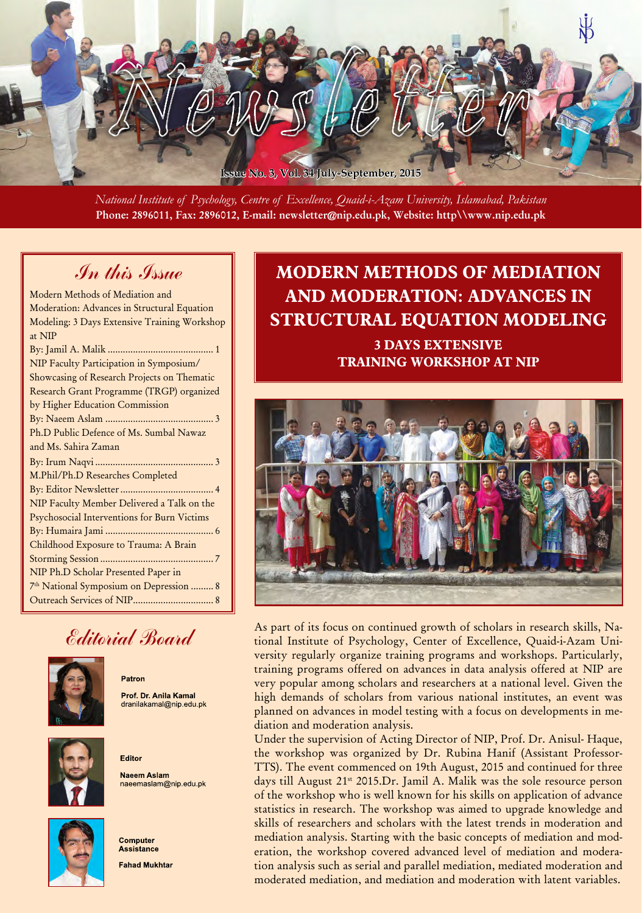

*National Institute of Psychology, Centre of Excellence, Quaid-i-Azam University, Islamabad, Pakistan* Phone: 2896011, Fax: 2896012, E-mail: newsletter@nip.edu.pk, Website: http\\www.nip.edu.pk

### In this Issue

| Modern Methods of Mediation and              |
|----------------------------------------------|
| Moderation: Advances in Structural Equation  |
| Modeling: 3 Days Extensive Training Workshop |
| at NIP                                       |
|                                              |
| NIP Faculty Participation in Symposium/      |
| Showcasing of Research Projects on Thematic  |
| Research Grant Programme (TRGP) organized    |
| by Higher Education Commission               |
|                                              |
| Ph.D Public Defence of Ms. Sumbal Nawaz      |
| and Ms. Sahira Zaman                         |
|                                              |
| M.Phil/Ph.D Researches Completed             |
|                                              |
| NIP Faculty Member Delivered a Talk on the   |
| Psychosocial Interventions for Burn Victims  |
|                                              |
| Childhood Exposure to Trauma: A Brain        |
|                                              |
| NIP Ph.D Scholar Presented Paper in          |
| 7th National Symposium on Depression  8      |
|                                              |

# Editorial Board

Patron

Editor



Prof. Dr. Anila Kamal dranilakamal@nip.edu.pk



**Naeem Aslam** naeemaslam@nip.edu.pk



Computer **Assistance Fahad Mukhtar** 

# **MODERN METHODS OF MEDIATION AND MODERATION: ADVANCES IN STRUCTURAL EQUATION MODELING**

**3 DAYS EXTENSIVE TRAINING WORKSHOP AT NIP**



As part of its focus on continued growth of scholars in research skills, National Institute of Psychology, Center of Excellence, Quaid-i-Azam University regularly organize training programs and workshops. Particularly, training programs offered on advances in data analysis offered at NIP are very popular among scholars and researchers at a national level. Given the high demands of scholars from various national institutes, an event was planned on advances in model testing with a focus on developments in mediation and moderation analysis.

Under the supervision of Acting Director of NIP, Prof. Dr. Anisul- Haque, the workshop was organized by Dr. Rubina Hanif (Assistant Professor-TTS). The event commenced on 19th August, 2015 and continued for three days till August  $21^{st}$  2015.Dr. Jamil A. Malik was the sole resource person of the workshop who is well known for his skills on application of advance statistics in research. The workshop was aimed to upgrade knowledge and skills of researchers and scholars with the latest trends in moderation and mediation analysis. Starting with the basic concepts of mediation and moderation, the workshop covered advanced level of mediation and moderation analysis such as serial and parallel mediation, mediated moderation and moderated mediation, and mediation and moderation with latent variables.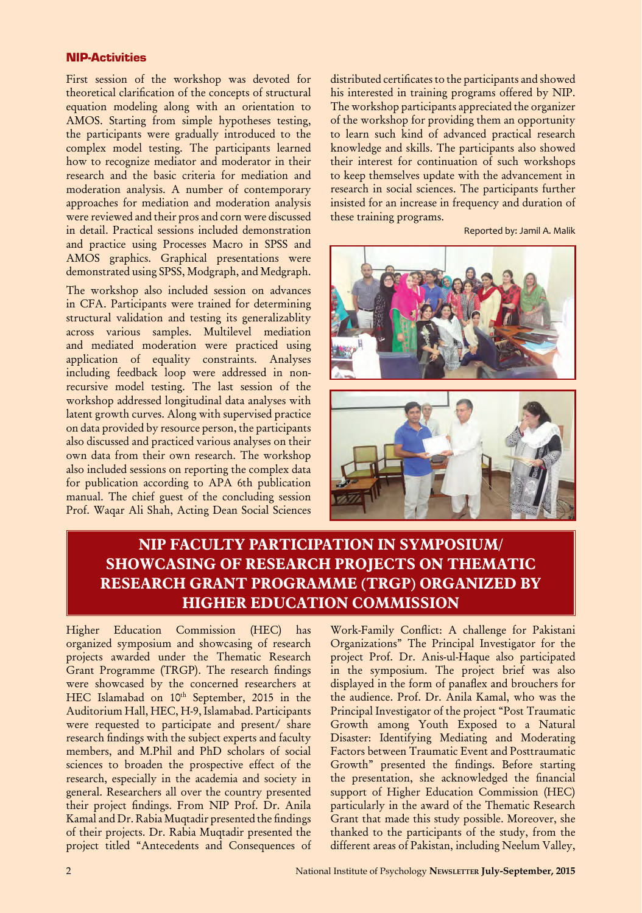#### NIP-Activities

First session of the workshop was devoted for theoretical clarification of the concepts of structural equation modeling along with an orientation to AMOS. Starting from simple hypotheses testing, the participants were gradually introduced to the complex model testing. The participants learned how to recognize mediator and moderator in their research and the basic criteria for mediation and moderation analysis. A number of contemporary approaches for mediation and moderation analysis were reviewed and their pros and corn were discussed in detail. Practical sessions included demonstration and practice using Processes Macro in SPSS and AMOS graphics. Graphical presentations were demonstrated using SPSS, Modgraph, and Medgraph.

The workshop also included session on advances in CFA. Participants were trained for determining structural validation and testing its generalizablity across various samples. Multilevel mediation and mediated moderation were practiced using application of equality constraints. Analyses including feedback loop were addressed in nonrecursive model testing. The last session of the workshop addressed longitudinal data analyses with latent growth curves. Along with supervised practice on data provided by resource person, the participants also discussed and practiced various analyses on their own data from their own research. The workshop also included sessions on reporting the complex data for publication according to APA 6th publication manual. The chief guest of the concluding session Prof. Waqar Ali Shah, Acting Dean Social Sciences

distributed certificates to the participants and showed his interested in training programs offered by NIP. The workshop participants appreciated the organizer of the workshop for providing them an opportunity to learn such kind of advanced practical research knowledge and skills. The participants also showed their interest for continuation of such workshops to keep themselves update with the advancement in research in social sciences. The participants further insisted for an increase in frequency and duration of these training programs.

Reported by: Jamil A. Malik



### **NIP FACULTY PARTICIPATION IN SYMPOSIUM/ SHOWCASING OF RESEARCH PROJECTS ON THEMATIC RESEARCH GRANT PROGRAMME (TRGP) ORGANIZED BY HIGHER EDUCATION COMMISSION**

Higher Education Commission (HEC) has organized symposium and showcasing of research projects awarded under the Thematic Research Grant Programme (TRGP). The research findings were showcased by the concerned researchers at HEC Islamabad on 10th September, 2015 in the Auditorium Hall, HEC, H-9, Islamabad. Participants were requested to participate and present/ share research findings with the subject experts and faculty members, and M.Phil and PhD scholars of social sciences to broaden the prospective effect of the research, especially in the academia and society in general. Researchers all over the country presented their project findings. From NIP Prof. Dr. Anila Kamal and Dr. Rabia Muqtadir presented the findings of their projects. Dr. Rabia Muqtadir presented the project titled "Antecedents and Consequences of

Work-Family Conflict: A challenge for Pakistani Organizations" The Principal Investigator for the project Prof. Dr. Anis-ul-Haque also participated in the symposium. The project brief was also displayed in the form of panaflex and brouchers for the audience. Prof. Dr. Anila Kamal, who was the Principal Investigator of the project "Post Traumatic Growth among Youth Exposed to a Natural Disaster: Identifying Mediating and Moderating Factors between Traumatic Event and Posttraumatic Growth" presented the findings. Before starting the presentation, she acknowledged the financial support of Higher Education Commission (HEC) particularly in the award of the Thematic Research Grant that made this study possible. Moreover, she thanked to the participants of the study, from the different areas of Pakistan, including Neelum Valley,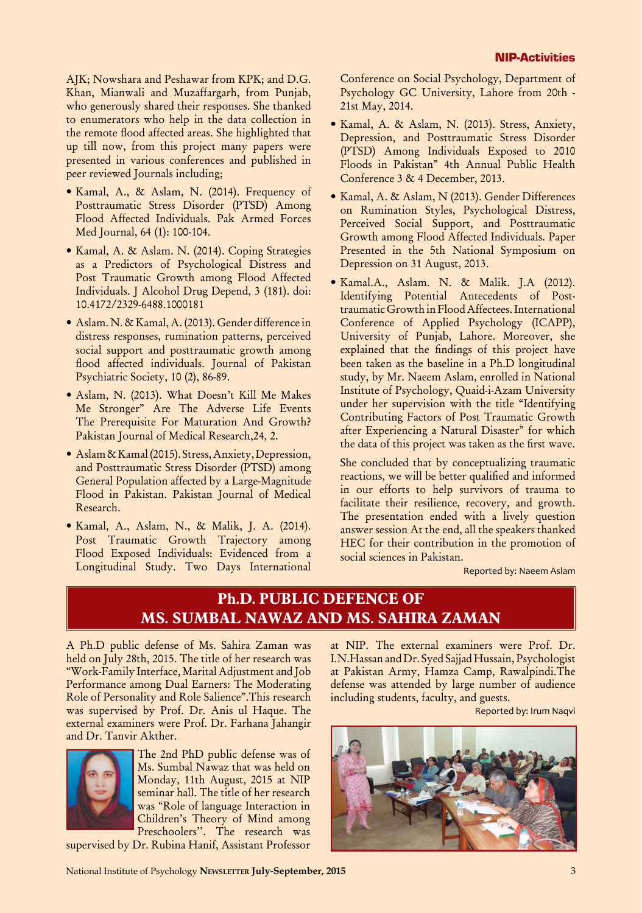AJK; Nowshara and Peshawar from KPK; and D.G. Khan, Mianwali and Muzaffargarh, from Punjab, who generously shared their responses. She thanked to enumerators who help in the data collection in the remote flood affected areas. She highlighted that up till now, from this project many papers were presented in various conferences and published in peer reviewed Journals including;

- Kamal, A., & Aslam, N. (2014). Frequency of Posttraumatic Stress Disorder (PTSD) Among Flood Affected Individuals. Pak Armed Forces Med Journal, 64 (1): 100-104.
- Kamal, A. & Aslam. N. (2014). Coping Strategies as a Predictors of Psychological Distress and Post Traumatic Growth among Flood Affected Individuals. J Alcohol Drug Depend, 3 (181). doi: 10.4172/2329-6488.1000181
- Aslam. N. & Kamal, A. (2013). Gender difference in distress responses, rumination patterns, perceived social support and posttraumatic growth among flood affected individuals. Journal of Pakistan Psychiatric Society, 10 (2), 86-89.
- Aslam, N. (2013). What Doesn't Kill Me Makes Me Stronger" Are The Adverse Life Events The Prerequisite For Maturation And Growth? Pakistan Journal of Medical Research,24, 2.
- Aslam & Kamal (2015). Stress, Anxiety, Depression, and Posttraumatic Stress Disorder (PTSD) among General Population affected by a Large-Magnitude Flood in Pakistan. Pakistan Journal of Medical Research.
- Kamal, A., Aslam, N., & Malik, J. A. (2014). Post Traumatic Growth Trajectory among Flood Exposed Individuals: Evidenced from a Longitudinal Study. Two Days International

Conference on Social Psychology, Department of Psychology GC University, Lahore from 20th - 21st May, 2014.

- Kamal, A. & Aslam, N. (2013). Stress, Anxiety, Depression, and Posttraumatic Stress Disorder (PTSD) Among Individuals Exposed to 2010 Floods in Pakistan" 4th Annual Public Health Conference 3 & 4 December, 2013.
- Kamal, A. & Aslam, N (2013). Gender Differences on Rumination Styles, Psychological Distress, Perceived Social Support, and Posttraumatic Growth among Flood Affected Individuals. Paper Presented in the 5th National Symposium on Depression on 31 August, 2013.
- Kamal.A., Aslam. N. & Malik. J.A (2012). Identifying Potential Antecedents of Posttraumatic Growth in Flood Affectees. International Conference of Applied Psychology (ICAPP), University of Punjab, Lahore. Moreover, she explained that the findings of this project have been taken as the baseline in a Ph.D longitudinal study, by Mr. Naeem Aslam, enrolled in National Institute of Psychology, Quaid-i-Azam University under her supervision with the title "Identifying Contributing Factors of Post Traumatic Growth after Experiencing a Natural Disaster" for which the data of this project was taken as the first wave.

She concluded that by conceptualizing traumatic reactions, we will be better qualified and informed in our efforts to help survivors of trauma to facilitate their resilience, recovery, and growth. The presentation ended with a lively question answer session At the end, all the speakers thanked HEC for their contribution in the promotion of social sciences in Pakistan.

Reported by: Naeem Aslam

### **Ph.D. PUBLIC DEFENCE OF MS. SUMBAL NAWAZ AND MS. SAHIRA ZAMAN**

A Ph.D public defense of Ms. Sahira Zaman was held on July 28th, 2015. The title of her research was "Work-Family Interface, Marital Adjustment and Job Performance among Dual Earners: The Moderating Role of Personality and Role Salience".This research was supervised by Prof. Dr. Anis ul Haque. The external examiners were Prof. Dr. Farhana Jahangir and Dr. Tanvir Akther.



The 2nd PhD public defense was of Ms. Sumbal Nawaz that was held on Monday, 11th August, 2015 at NIP seminar hall. The title of her research was "Role of language Interaction in Children's Theory of Mind among Preschoolers''. The research was

supervised by Dr. Rubina Hanif, Assistant Professor

at NIP. The external examiners were Prof. Dr. I.N.Hassan and Dr. Syed Sajjad Hussain, Psychologist at Pakistan Army, Hamza Camp, Rawalpindi.The defense was attended by large number of audience including students, faculty, and guests.

Reported by: Irum Naqvi

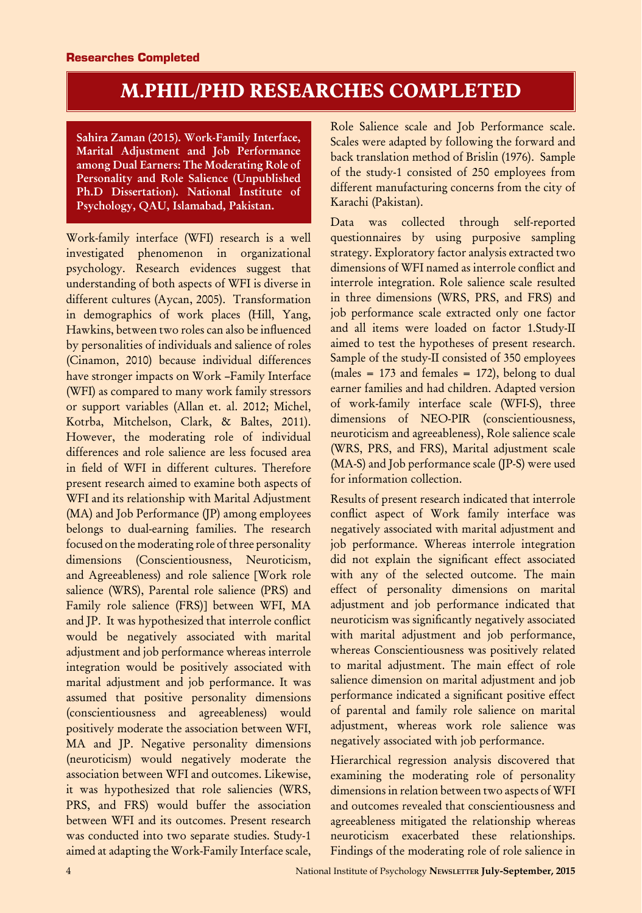# **M.PHIL/PHD RESEARCHES COMPLETED**

Sahira Zaman (2015). Work-Family Interface, Marital Adjustment and Job Performance among Dual Earners: The Moderating Role of Personality and Role Salience (Unpublished Ph.D Dissertation). National Institute of Psychology, QAU, Islamabad, Pakistan.

Work-family interface (WFI) research is a well investigated phenomenon in organizational psychology. Research evidences suggest that understanding of both aspects of WFI is diverse in different cultures (Aycan, 2005). Transformation in demographics of work places (Hill, Yang, Hawkins, between two roles can also be influenced by personalities of individuals and salience of roles (Cinamon, 2010) because individual differences have stronger impacts on Work –Family Interface (WFI) as compared to many work family stressors or support variables (Allan et. al. 2012; Michel, Kotrba, Mitchelson, Clark, & Baltes, 2011). However, the moderating role of individual differences and role salience are less focused area in field of WFI in different cultures. Therefore present research aimed to examine both aspects of WFI and its relationship with Marital Adjustment (MA) and Job Performance (JP) among employees belongs to dual-earning families. The research focused on the moderating role of three personality dimensions (Conscientiousness, Neuroticism, and Agreeableness) and role salience [Work role salience (WRS), Parental role salience (PRS) and Family role salience (FRS)] between WFI, MA and JP. It was hypothesized that interrole conflict would be negatively associated with marital adjustment and job performance whereas interrole integration would be positively associated with marital adjustment and job performance. It was assumed that positive personality dimensions (conscientiousness and agreeableness) would positively moderate the association between WFI, MA and JP. Negative personality dimensions (neuroticism) would negatively moderate the association between WFI and outcomes. Likewise, it was hypothesized that role saliencies (WRS, PRS, and FRS) would buffer the association between WFI and its outcomes. Present research was conducted into two separate studies. Study-1 aimed at adapting the Work-Family Interface scale,

Role Salience scale and Job Performance scale. Scales were adapted by following the forward and back translation method of Brislin (1976). Sample of the study-1 consisted of 250 employees from different manufacturing concerns from the city of Karachi (Pakistan).

Data was collected through self-reported questionnaires by using purposive sampling strategy. Exploratory factor analysis extracted two dimensions of WFI named as interrole conflict and interrole integration. Role salience scale resulted in three dimensions (WRS, PRS, and FRS) and job performance scale extracted only one factor and all items were loaded on factor 1.Study-II aimed to test the hypotheses of present research. Sample of the study-II consisted of 350 employees (males  $= 173$  and females  $= 172$ ), belong to dual earner families and had children. Adapted version of work-family interface scale (WFI-S), three dimensions of NEO-PIR (conscientiousness, neuroticism and agreeableness), Role salience scale (WRS, PRS, and FRS), Marital adjustment scale (MA-S) and Job performance scale (JP-S) were used for information collection.

Results of present research indicated that interrole conflict aspect of Work family interface was negatively associated with marital adjustment and job performance. Whereas interrole integration did not explain the significant effect associated with any of the selected outcome. The main effect of personality dimensions on marital adjustment and job performance indicated that neuroticism was significantly negatively associated with marital adjustment and job performance, whereas Conscientiousness was positively related to marital adjustment. The main effect of role salience dimension on marital adjustment and job performance indicated a significant positive effect of parental and family role salience on marital adjustment, whereas work role salience was negatively associated with job performance.

Hierarchical regression analysis discovered that examining the moderating role of personality dimensions in relation between two aspects of WFI and outcomes revealed that conscientiousness and agreeableness mitigated the relationship whereas neuroticism exacerbated these relationships. Findings of the moderating role of role salience in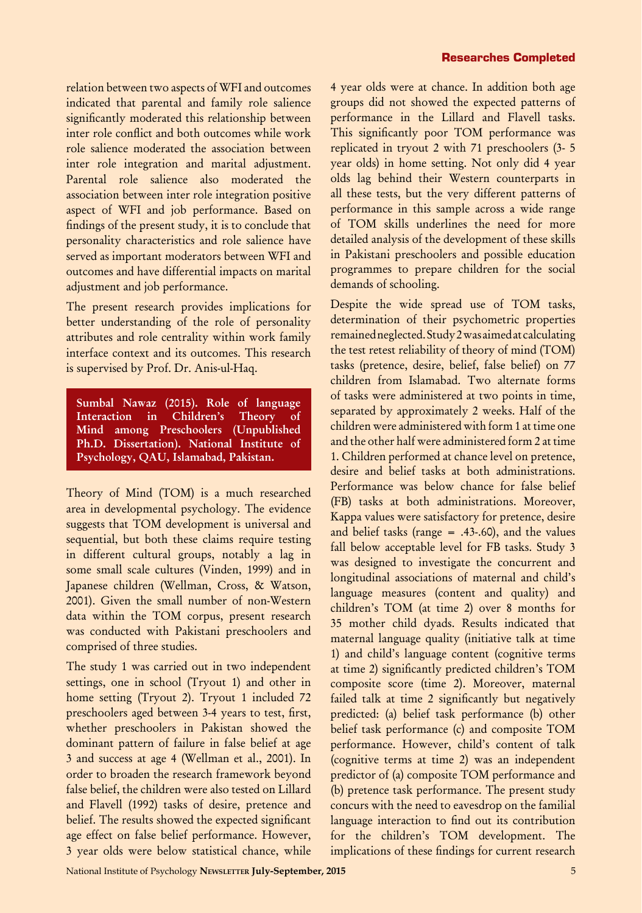relation between two aspects of WFI and outcomes indicated that parental and family role salience significantly moderated this relationship between inter role conflict and both outcomes while work role salience moderated the association between inter role integration and marital adjustment. Parental role salience also moderated the association between inter role integration positive aspect of WFI and job performance. Based on findings of the present study, it is to conclude that personality characteristics and role salience have served as important moderators between WFI and outcomes and have differential impacts on marital adjustment and job performance.

The present research provides implications for better understanding of the role of personality attributes and role centrality within work family interface context and its outcomes. This research is supervised by Prof. Dr. Anis-ul-Haq.

Sumbal Nawaz (2015). Role of language Interaction in Children's Theory of Mind among Preschoolers (Unpublished Ph.D. Dissertation). National Institute of Psychology, QAU, Islamabad, Pakistan.

Theory of Mind (TOM) is a much researched area in developmental psychology. The evidence suggests that TOM development is universal and sequential, but both these claims require testing in different cultural groups, notably a lag in some small scale cultures (Vinden, 1999) and in Japanese children (Wellman, Cross, & Watson, 2001). Given the small number of non-Western data within the TOM corpus, present research was conducted with Pakistani preschoolers and comprised of three studies.

The study 1 was carried out in two independent settings, one in school (Tryout 1) and other in home setting (Tryout 2). Tryout 1 included 72 preschoolers aged between 3-4 years to test, first, whether preschoolers in Pakistan showed the dominant pattern of failure in false belief at age 3 and success at age 4 (Wellman et al., 2001). In order to broaden the research framework beyond false belief, the children were also tested on Lillard and Flavell (1992) tasks of desire, pretence and belief. The results showed the expected significant age effect on false belief performance. However, 3 year olds were below statistical chance, while

4 year olds were at chance. In addition both age groups did not showed the expected patterns of performance in the Lillard and Flavell tasks. This significantly poor TOM performance was replicated in tryout 2 with 71 preschoolers (3- 5 year olds) in home setting. Not only did 4 year olds lag behind their Western counterparts in all these tests, but the very different patterns of performance in this sample across a wide range of TOM skills underlines the need for more detailed analysis of the development of these skills in Pakistani preschoolers and possible education programmes to prepare children for the social demands of schooling.

Despite the wide spread use of TOM tasks, determination of their psychometric properties remained neglected. Study 2 was aimed at calculating the test retest reliability of theory of mind (TOM) tasks (pretence, desire, belief, false belief) on 77 children from Islamabad. Two alternate forms of tasks were administered at two points in time, separated by approximately 2 weeks. Half of the children were administered with form 1 at time one and the other half were administered form 2 at time 1. Children performed at chance level on pretence, desire and belief tasks at both administrations. Performance was below chance for false belief (FB) tasks at both administrations. Moreover, Kappa values were satisfactory for pretence, desire and belief tasks (range  $= .43-.60$ ), and the values fall below acceptable level for FB tasks. Study 3 was designed to investigate the concurrent and longitudinal associations of maternal and child's language measures (content and quality) and children's TOM (at time 2) over 8 months for 35 mother child dyads. Results indicated that maternal language quality (initiative talk at time 1) and child's language content (cognitive terms at time 2) significantly predicted children's TOM composite score (time 2). Moreover, maternal failed talk at time 2 significantly but negatively predicted: (a) belief task performance (b) other belief task performance (c) and composite TOM performance. However, child's content of talk (cognitive terms at time 2) was an independent predictor of (a) composite TOM performance and (b) pretence task performance. The present study concurs with the need to eavesdrop on the familial language interaction to find out its contribution for the children's TOM development. The implications of these findings for current research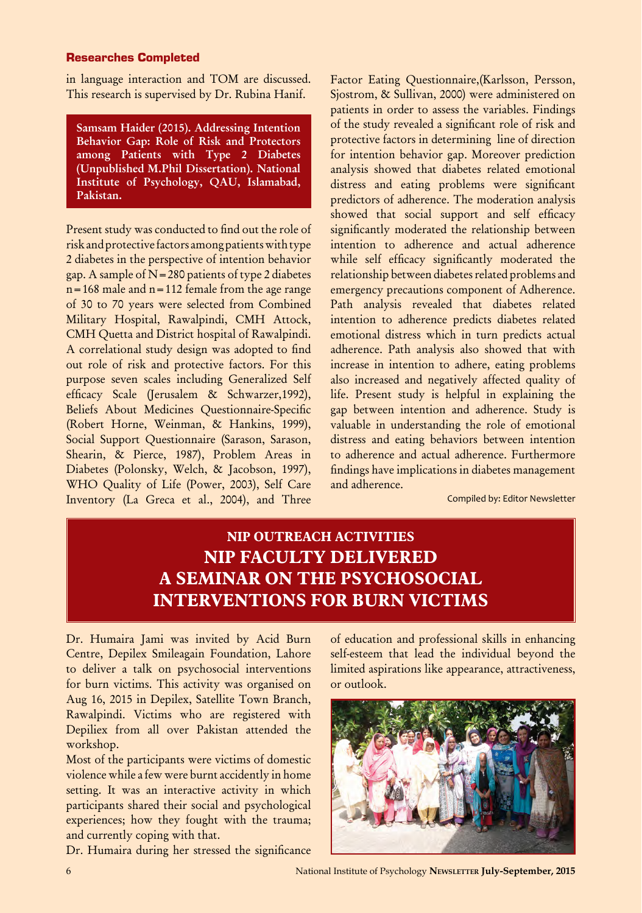#### Researches Completed

in language interaction and TOM are discussed. This research is supervised by Dr. Rubina Hanif.

Samsam Haider (2015). Addressing Intention Behavior Gap: Role of Risk and Protectors among Patients with Type 2 Diabetes (Unpublished M.Phil Dissertation). National Institute of Psychology, QAU, Islamabad, Pakistan.

Present study was conducted to find out the role of risk and protective factors among patients with type 2 diabetes in the perspective of intention behavior gap. A sample of  $N=280$  patients of type 2 diabetes  $n=168$  male and  $n=112$  female from the age range of 30 to 70 years were selected from Combined Military Hospital, Rawalpindi, CMH Attock, CMH Quetta and District hospital of Rawalpindi. A correlational study design was adopted to find out role of risk and protective factors. For this purpose seven scales including Generalized Self efficacy Scale (Jerusalem & Schwarzer,1992), Beliefs About Medicines Questionnaire-Specific (Robert Horne, Weinman, & Hankins, 1999), Social Support Questionnaire (Sarason, Sarason, Shearin, & Pierce, 1987), Problem Areas in Diabetes (Polonsky, Welch, & Jacobson, 1997), WHO Quality of Life (Power, 2003), Self Care Inventory (La Greca et al., 2004), and Three

Factor Eating Questionnaire,(Karlsson, Persson, Sjostrom, & Sullivan, 2000) were administered on patients in order to assess the variables. Findings of the study revealed a significant role of risk and protective factors in determining line of direction for intention behavior gap. Moreover prediction analysis showed that diabetes related emotional distress and eating problems were significant predictors of adherence. The moderation analysis showed that social support and self efficacy significantly moderated the relationship between intention to adherence and actual adherence while self efficacy significantly moderated the relationship between diabetes related problems and emergency precautions component of Adherence. Path analysis revealed that diabetes related intention to adherence predicts diabetes related emotional distress which in turn predicts actual adherence. Path analysis also showed that with increase in intention to adhere, eating problems also increased and negatively affected quality of life. Present study is helpful in explaining the gap between intention and adherence. Study is valuable in understanding the role of emotional distress and eating behaviors between intention to adherence and actual adherence. Furthermore findings have implications in diabetes management and adherence.

Compiled by: Editor Newsletter

### **NIP OUTREACH ACTIVITIES NIP FACULTY DELIVERED A SEMINAR ON THE PSYCHOSOCIAL INTERVENTIONS FOR BURN VICTIMS**

Dr. Humaira Jami was invited by Acid Burn Centre, Depilex Smileagain Foundation, Lahore to deliver a talk on psychosocial interventions for burn victims. This activity was organised on Aug 16, 2015 in Depilex, Satellite Town Branch, Rawalpindi. Victims who are registered with Depiliex from all over Pakistan attended the workshop.

Most of the participants were victims of domestic violence while a few were burnt accidently in home setting. It was an interactive activity in which participants shared their social and psychological experiences; how they fought with the trauma; and currently coping with that.

Dr. Humaira during her stressed the significance

of education and professional skills in enhancing self-esteem that lead the individual beyond the limited aspirations like appearance, attractiveness, or outlook.



6 National Institute of Psychology **Newsletter July-September, 2015**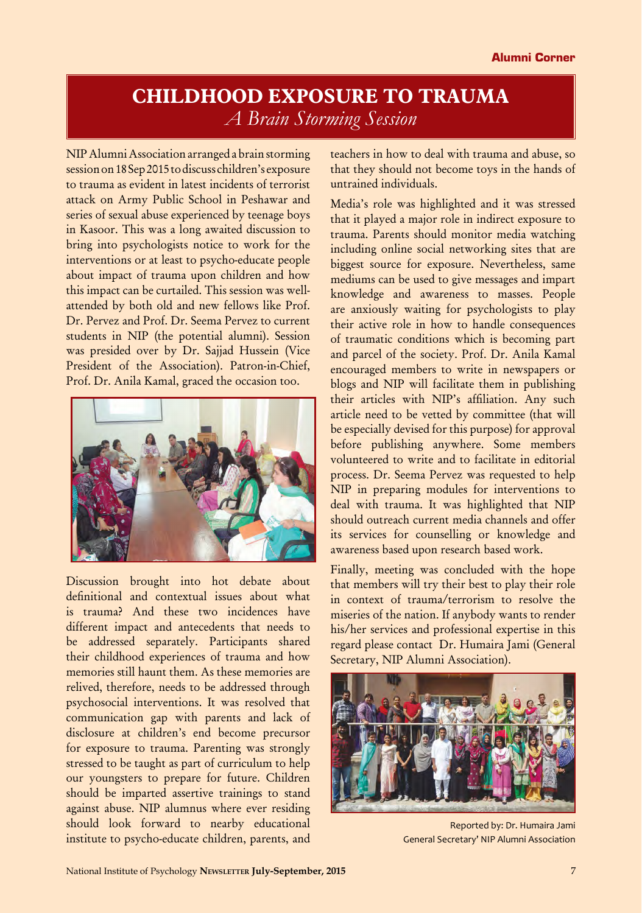### **CHILDHOOD EXPOSURE TO TRAUMA** *A Brain Storming Session*

NIP Alumni Association arranged a brain storming session on 18 Sep 2015 to discuss children's exposure to trauma as evident in latest incidents of terrorist attack on Army Public School in Peshawar and series of sexual abuse experienced by teenage boys in Kasoor. This was a long awaited discussion to bring into psychologists notice to work for the interventions or at least to psycho-educate people about impact of trauma upon children and how this impact can be curtailed. This session was wellattended by both old and new fellows like Prof. Dr. Pervez and Prof. Dr. Seema Pervez to current students in NIP (the potential alumni). Session was presided over by Dr. Sajjad Hussein (Vice President of the Association). Patron-in-Chief, Prof. Dr. Anila Kamal, graced the occasion too.



Discussion brought into hot debate about definitional and contextual issues about what is trauma? And these two incidences have different impact and antecedents that needs to be addressed separately. Participants shared their childhood experiences of trauma and how memories still haunt them. As these memories are relived, therefore, needs to be addressed through psychosocial interventions. It was resolved that communication gap with parents and lack of disclosure at children's end become precursor for exposure to trauma. Parenting was strongly stressed to be taught as part of curriculum to help our youngsters to prepare for future. Children should be imparted assertive trainings to stand against abuse. NIP alumnus where ever residing should look forward to nearby educational institute to psycho-educate children, parents, and

teachers in how to deal with trauma and abuse, so that they should not become toys in the hands of untrained individuals.

Media's role was highlighted and it was stressed that it played a major role in indirect exposure to trauma. Parents should monitor media watching including online social networking sites that are biggest source for exposure. Nevertheless, same mediums can be used to give messages and impart knowledge and awareness to masses. People are anxiously waiting for psychologists to play their active role in how to handle consequences of traumatic conditions which is becoming part and parcel of the society. Prof. Dr. Anila Kamal encouraged members to write in newspapers or blogs and NIP will facilitate them in publishing their articles with NIP's affiliation. Any such article need to be vetted by committee (that will be especially devised for this purpose) for approval before publishing anywhere. Some members volunteered to write and to facilitate in editorial process. Dr. Seema Pervez was requested to help NIP in preparing modules for interventions to deal with trauma. It was highlighted that NIP should outreach current media channels and offer its services for counselling or knowledge and awareness based upon research based work.

Finally, meeting was concluded with the hope that members will try their best to play their role in context of trauma/terrorism to resolve the miseries of the nation. If anybody wants to render his/her services and professional expertise in this regard please contact Dr. Humaira Jami (General Secretary, NIP Alumni Association).



Reported by: Dr. Humaira Jami General Secretary' NIP Alumni Association